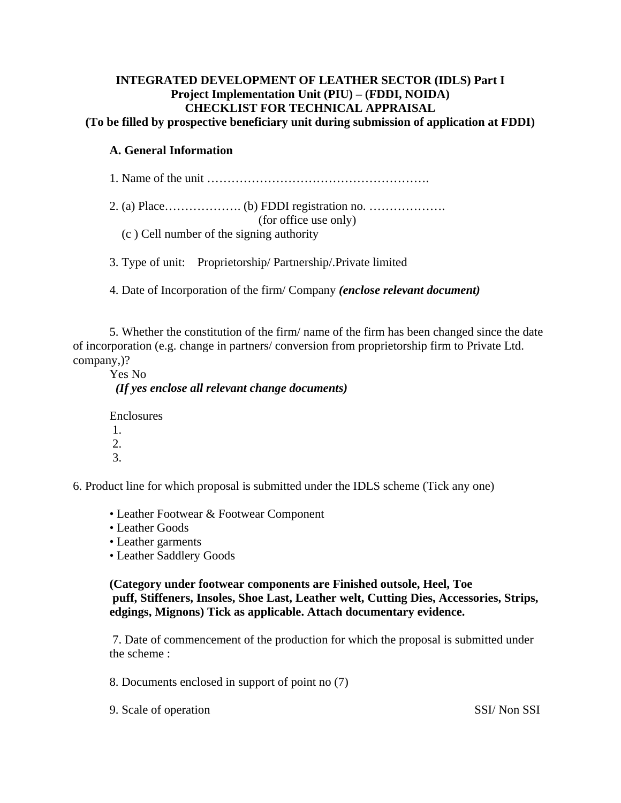# **INTEGRATED DEVELOPMENT OF LEATHER SECTOR (IDLS) Part I Project Implementation Unit (PIU) – (FDDI, NOIDA) CHECKLIST FOR TECHNICAL APPRAISAL**

**(To be filled by prospective beneficiary unit during submission of application at FDDI)**

### **A. General Information**

1. Name of the unit ……………………………………………….

 2. (a) Place………………. (b) FDDI registration no. ………………. (for office use only) (c ) Cell number of the signing authority

3. Type of unit: Proprietorship/ Partnership/.Private limited

4. Date of Incorporation of the firm/ Company *(enclose relevant document)* 

 5. Whether the constitution of the firm/ name of the firm has been changed since the date of incorporation (e.g. change in partners/ conversion from proprietorship firm to Private Ltd. company,)?

 Yes No *(If yes enclose all relevant change documents)* 

Enclosures

 1. 2.

3.

6. Product line for which proposal is submitted under the IDLS scheme (Tick any one)

- Leather Footwear & Footwear Component
- Leather Goods
- Leather garments
- Leather Saddlery Goods

 **(Category under footwear components are Finished outsole, Heel, Toe puff, Stiffeners, Insoles, Shoe Last, Leather welt, Cutting Dies, Accessories, Strips, edgings, Mignons) Tick as applicable. Attach documentary evidence.** 

 7. Date of commencement of the production for which the proposal is submitted under the scheme :

8. Documents enclosed in support of point no (7)

9. Scale of operation SSI/ Non SSI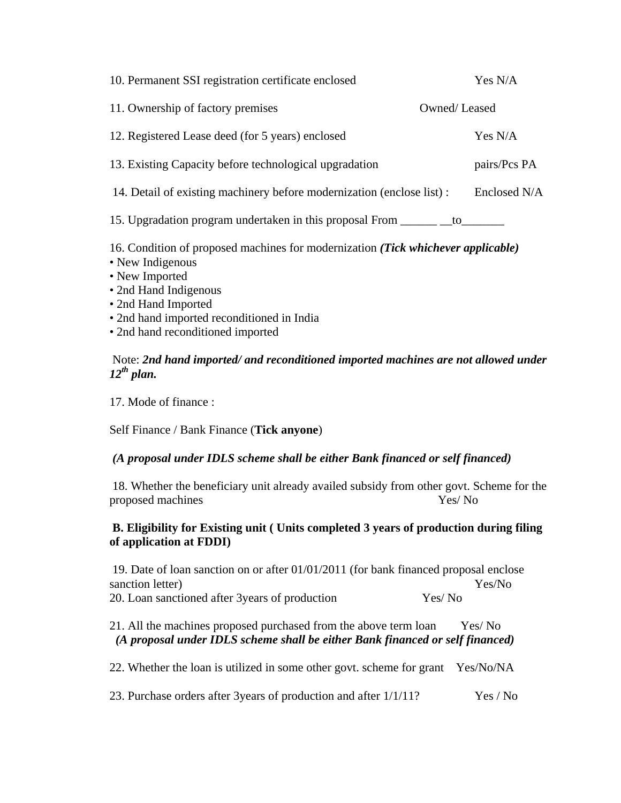| 10. Permanent SSI registration certificate enclosed                              |              | Yes N/A      |
|----------------------------------------------------------------------------------|--------------|--------------|
| 11. Ownership of factory premises                                                | Owned/Leased |              |
| 12. Registered Lease deed (for 5 years) enclosed                                 |              | Yes N/A      |
| 13. Existing Capacity before technological upgradation                           |              | pairs/Pcs PA |
| 14. Detail of existing machinery before modernization (enclose list):            |              | Enclosed N/A |
| 15. Upgradation program undertaken in this proposal From _______                 | to           |              |
| 16. Condition of proposed machines for modernization (Tick whichever applicable) |              |              |

- New Indigenous
- New Imported
- 2nd Hand Indigenous
- 2nd Hand Imported
- 2nd hand imported reconditioned in India
- 2nd hand reconditioned imported

#### Note: *2nd hand imported/ and reconditioned imported machines are not allowed under 12th plan.*

17. Mode of finance :

Self Finance / Bank Finance (**Tick anyone**)

#### *(A proposal under IDLS scheme shall be either Bank financed or self financed)*

 18. Whether the beneficiary unit already availed subsidy from other govt. Scheme for the proposed machines Yes/ No

#### **B. Eligibility for Existing unit ( Units completed 3 years of production during filing of application at FDDI)**

 19. Date of loan sanction on or after 01/01/2011 (for bank financed proposal enclose sanction letter)  $\gamma$ 20. Loan sanctioned after 3years of production Yes/ No

## 21. All the machines proposed purchased from the above term loan Yes/ No *(A proposal under IDLS scheme shall be either Bank financed or self financed)*

22. Whether the loan is utilized in some other govt. scheme for grant Yes/No/NA

23. Purchase orders after 3years of production and after 1/1/11? Yes / No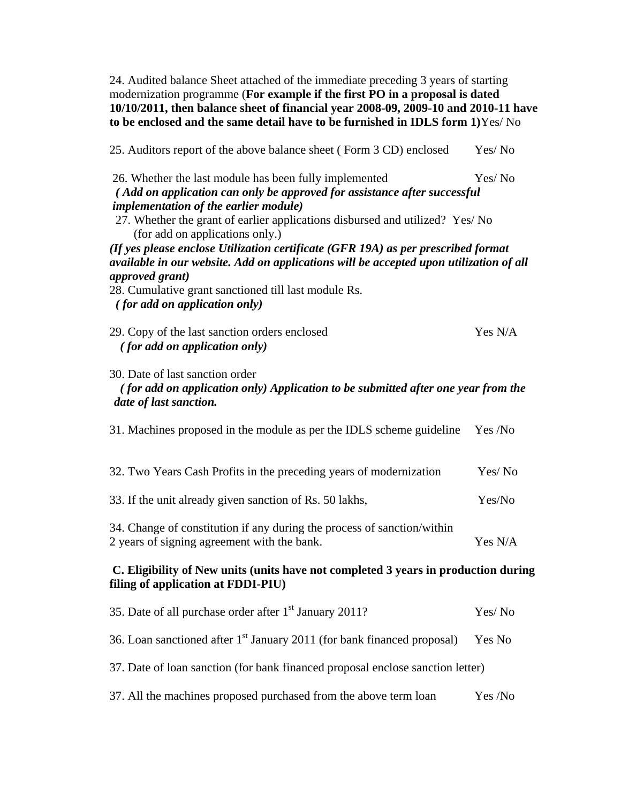24. Audited balance Sheet attached of the immediate preceding 3 years of starting modernization programme (**For example if the first PO in a proposal is dated 10/10/2011, then balance sheet of financial year 2008-09, 2009-10 and 2010-11 have to be enclosed and the same detail have to be furnished in IDLS form 1)**Yes/ No

| 25. Auditors report of the above balance sheet (Form 3 CD) enclosed                                                                                                         | Yes/No  |
|-----------------------------------------------------------------------------------------------------------------------------------------------------------------------------|---------|
| 26. Whether the last module has been fully implemented<br>(Add on application can only be approved for assistance after successful                                          | Yes/No  |
| <i>implementation of the earlier module)</i><br>27. Whether the grant of earlier applications disbursed and utilized? Yes/ No<br>(for add on applications only.)            |         |
| (If yes please enclose Utilization certificate (GFR 19A) as per prescribed format<br>available in our website. Add on applications will be accepted upon utilization of all |         |
| approved grant)<br>28. Cumulative grant sanctioned till last module Rs.<br><i>(for add on application only)</i>                                                             |         |
| 29. Copy of the last sanction orders enclosed<br><i>(for add on application only)</i>                                                                                       | Yes N/A |
| 30. Date of last sanction order<br>(for add on application only) Application to be submitted after one year from the<br>date of last sanction.                              |         |
| 31. Machines proposed in the module as per the IDLS scheme guideline                                                                                                        | Yes /No |
| 32. Two Years Cash Profits in the preceding years of modernization                                                                                                          | Yes/No  |
| 33. If the unit already given sanction of Rs. 50 lakhs,                                                                                                                     | Yes/No  |
| 34. Change of constitution if any during the process of sanction/within<br>2 years of signing agreement with the bank.                                                      | Yes N/A |
| C. Eligibility of New units (units have not completed 3 years in production during<br>filing of application at FDDI-PIU)                                                    |         |
| 35. Date of all purchase order after 1 <sup>st</sup> January 2011?                                                                                                          | Yes/No  |
| 36. Loan sanctioned after 1 <sup>st</sup> January 2011 (for bank financed proposal)                                                                                         | Yes No  |
| 37. Date of loan sanction (for bank financed proposal enclose sanction letter)                                                                                              |         |
| 37. All the machines proposed purchased from the above term loan                                                                                                            | Yes /No |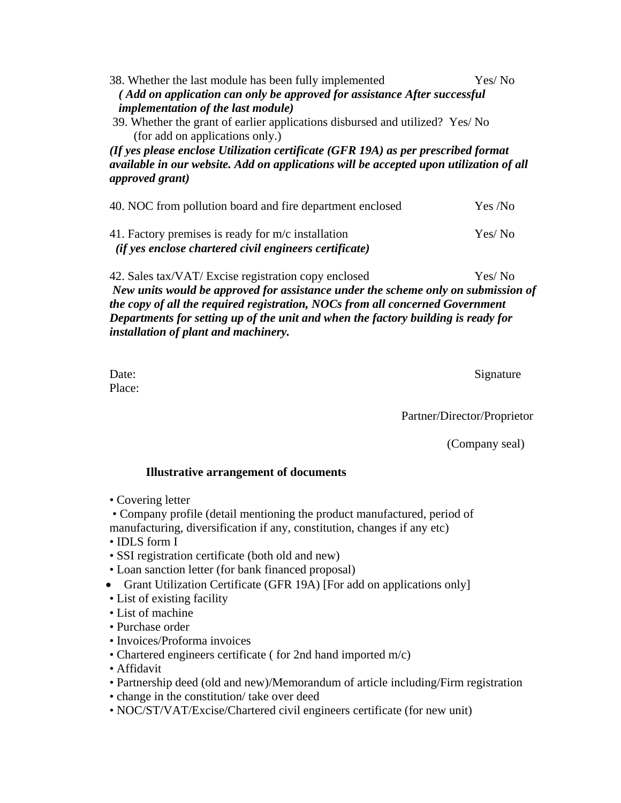| (Add on application can only be approved for assistance After successful                                                                                                                               |  |  |  |
|--------------------------------------------------------------------------------------------------------------------------------------------------------------------------------------------------------|--|--|--|
|                                                                                                                                                                                                        |  |  |  |
|                                                                                                                                                                                                        |  |  |  |
| 39. Whether the grant of earlier applications disbursed and utilized? Yes/No                                                                                                                           |  |  |  |
|                                                                                                                                                                                                        |  |  |  |
| (If yes please enclose Utilization certificate (GFR 19A) as per prescribed format<br>available in our website. Add on applications will be accepted upon utilization of all<br><i>approved grant</i> ) |  |  |  |
|                                                                                                                                                                                                        |  |  |  |
| Yes /No                                                                                                                                                                                                |  |  |  |
| Yes/No                                                                                                                                                                                                 |  |  |  |
|                                                                                                                                                                                                        |  |  |  |
| Yes/No                                                                                                                                                                                                 |  |  |  |
| New units would be approved for assistance under the scheme only on submission of                                                                                                                      |  |  |  |
| the copy of all the required registration, NOCs from all concerned Government                                                                                                                          |  |  |  |
|                                                                                                                                                                                                        |  |  |  |

*Departments for setting up of the unit and when the factory building is ready for installation of plant and machinery.* 

Place:

Date: Signature

Partner/Director/Proprietor

(Company seal)

#### **Illustrative arrangement of documents**

• Covering letter

 • Company profile (detail mentioning the product manufactured, period of manufacturing, diversification if any, constitution, changes if any etc)

- IDLS form I
- SSI registration certificate (both old and new)
- Loan sanction letter (for bank financed proposal)
- Grant Utilization Certificate (GFR 19A) [For add on applications only]
- List of existing facility
- List of machine
- Purchase order
- Invoices/Proforma invoices
- Chartered engineers certificate ( for 2nd hand imported m/c)
- Affidavit
- Partnership deed (old and new)/Memorandum of article including/Firm registration
- change in the constitution/ take over deed
- NOC/ST/VAT/Excise/Chartered civil engineers certificate (for new unit)